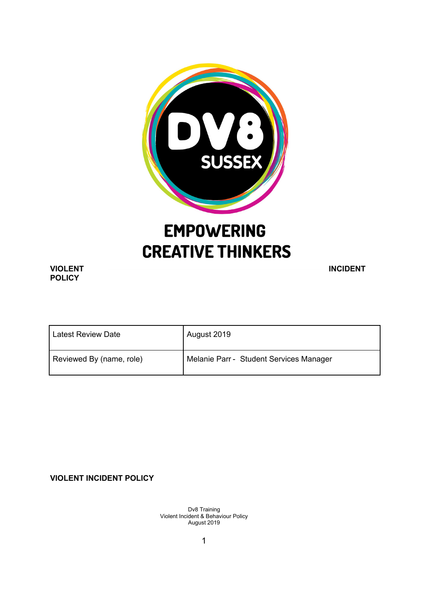

# **EMPOWERING CREATIVE THINKERS**

# **POLICY**

**VIOLENT INCIDENT** 

| <b>Latest Review Date</b> | August 2019                             |
|---------------------------|-----------------------------------------|
| Reviewed By (name, role)  | Melanie Parr - Student Services Manager |

**VIOLENT INCIDENT POLICY**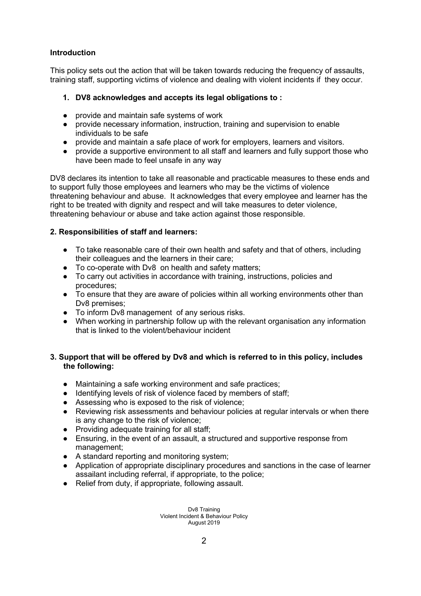## **Introduction**

This policy sets out the action that will be taken towards reducing the frequency of assaults, training staff, supporting victims of violence and dealing with violent incidents if they occur.

# **1. DV8 acknowledges and accepts its legal obligations to :**

- provide and maintain safe systems of work
- provide necessary information, instruction, training and supervision to enable individuals to be safe
- provide and maintain a safe place of work for employers, learners and visitors.
- provide a supportive environment to all staff and learners and fully support those who have been made to feel unsafe in any way

DV8 declares its intention to take all reasonable and practicable measures to these ends and to support fully those employees and learners who may be the victims of violence threatening behaviour and abuse. It acknowledges that every employee and learner has the right to be treated with dignity and respect and will take measures to deter violence, threatening behaviour or abuse and take action against those responsible.

## **2. Responsibilities of staff and learners:**

- To take reasonable care of their own health and safety and that of others, including their colleagues and the learners in their care;
- To co-operate with Dv8 on health and safety matters;
- To carry out activities in accordance with training, instructions, policies and procedures;
- To ensure that they are aware of policies within all working environments other than Dv8 premises;
- To inform Dv8 management of any serious risks.
- When working in partnership follow up with the relevant organisation any information that is linked to the violent/behaviour incident

## **3. Support that will be offered by Dv8 and which is referred to in this policy, includes the following:**

- Maintaining a safe working environment and safe practices;
- Identifying levels of risk of violence faced by members of staff;
- Assessing who is exposed to the risk of violence;
- Reviewing risk assessments and behaviour policies at regular intervals or when there is any change to the risk of violence;
- Providing adequate training for all staff;
- Ensuring, in the event of an assault, a structured and supportive response from management;
- A standard reporting and monitoring system;
- Application of appropriate disciplinary procedures and sanctions in the case of learner assailant including referral, if appropriate, to the police;
- Relief from duty, if appropriate, following assault.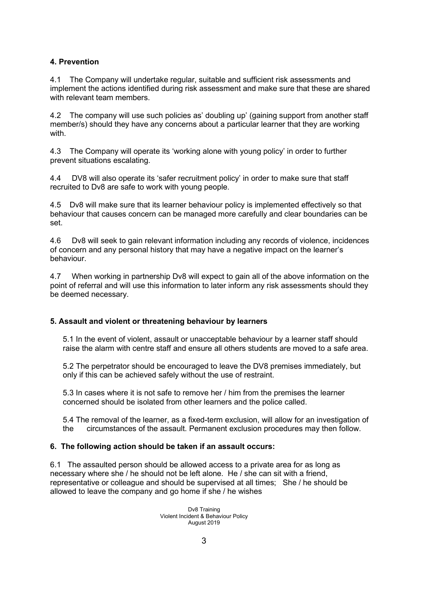# **4. Prevention**

4.1 The Company will undertake regular, suitable and sufficient risk assessments and implement the actions identified during risk assessment and make sure that these are shared with relevant team members.

4.2 The company will use such policies as' doubling up' (gaining support from another staff member/s) should they have any concerns about a particular learner that they are working with.

4.3 The Company will operate its 'working alone with young policy' in order to further prevent situations escalating.

4.4 DV8 will also operate its 'safer recruitment policy' in order to make sure that staff recruited to Dv8 are safe to work with young people.

4.5 Dv8 will make sure that its learner behaviour policy is implemented effectively so that behaviour that causes concern can be managed more carefully and clear boundaries can be set.

4.6 Dv8 will seek to gain relevant information including any records of violence, incidences of concern and any personal history that may have a negative impact on the learner's behaviour.

4.7 When working in partnership Dv8 will expect to gain all of the above information on the point of referral and will use this information to later inform any risk assessments should they be deemed necessary.

#### **5. Assault and violent or threatening behaviour by learners**

5.1 In the event of violent, assault or unacceptable behaviour by a learner staff should raise the alarm with centre staff and ensure all others students are moved to a safe area.

5.2 The perpetrator should be encouraged to leave the DV8 premises immediately, but only if this can be achieved safely without the use of restraint.

5.3 In cases where it is not safe to remove her / him from the premises the learner concerned should be isolated from other learners and the police called.

5.4 The removal of the learner, as a fixed-term exclusion, will allow for an investigation of the circumstances of the assault. Permanent exclusion procedures may then follow.

#### **6. The following action should be taken if an assault occurs:**

6.1 The assaulted person should be allowed access to a private area for as long as necessary where she / he should not be left alone. He / she can sit with a friend, representative or colleague and should be supervised at all times; She / he should be allowed to leave the company and go home if she / he wishes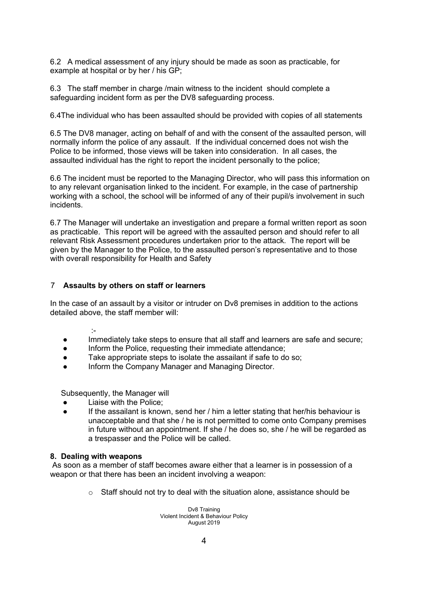6.2 A medical assessment of any injury should be made as soon as practicable, for example at hospital or by her / his GP;

6.3 The staff member in charge /main witness to the incident should complete a safeguarding incident form as per the DV8 safeguarding process.

6.4The individual who has been assaulted should be provided with copies of all statements

6.5 The DV8 manager, acting on behalf of and with the consent of the assaulted person, will normally inform the police of any assault. If the individual concerned does not wish the Police to be informed, those views will be taken into consideration. In all cases, the assaulted individual has the right to report the incident personally to the police;

6.6 The incident must be reported to the Managing Director, who will pass this information on to any relevant organisation linked to the incident. For example, in the case of partnership working with a school, the school will be informed of any of their pupil/s involvement in such incidents.

6.7 The Manager will undertake an investigation and prepare a formal written report as soon as practicable. This report will be agreed with the assaulted person and should refer to all relevant Risk Assessment procedures undertaken prior to the attack. The report will be given by the Manager to the Police, to the assaulted person's representative and to those with overall responsibility for Health and Safety

#### 7 **Assaults by others on staff or learners**

In the case of an assault by a visitor or intruder on Dv8 premises in addition to the actions detailed above, the staff member will:

#### :-

- Immediately take steps to ensure that all staff and learners are safe and secure;
- Inform the Police, requesting their immediate attendance;
- Take appropriate steps to isolate the assailant if safe to do so;
- Inform the Company Manager and Managing Director.

Subsequently, the Manager will

- Liaise with the Police:
- If the assailant is known, send her / him a letter stating that her/his behaviour is unacceptable and that she / he is not permitted to come onto Company premises in future without an appointment. If she / he does so, she / he will be regarded as a trespasser and the Police will be called.

#### **8. Dealing with weapons**

As soon as a member of staff becomes aware either that a learner is in possession of a weapon or that there has been an incident involving a weapon:

o Staff should not try to deal with the situation alone, assistance should be